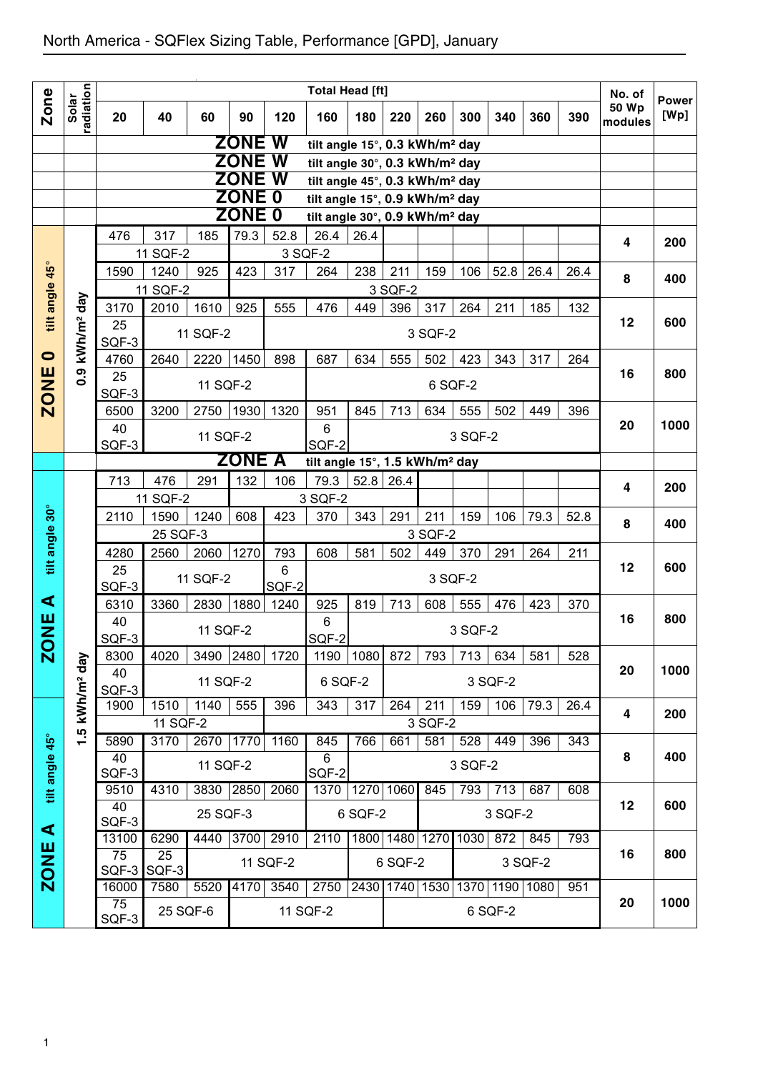|                |                        |               |                  |           |               |               | <b>Total Head [ft]</b>                     |           |           |                     |         |         |           |      | No. of           |                      |
|----------------|------------------------|---------------|------------------|-----------|---------------|---------------|--------------------------------------------|-----------|-----------|---------------------|---------|---------|-----------|------|------------------|----------------------|
| Zone           | radiation<br>Solar     | 20            | 40               | 60        | 90            | 120           | 160                                        | 180       | 220       | 260                 | 300     | 340     | 360       | 390  | 50 Wp<br>modules | <b>Power</b><br>[Wp] |
|                |                        |               |                  |           | <b>ZONE W</b> |               | tilt angle 15°, 0.3 kWh/m <sup>2</sup> day |           |           |                     |         |         |           |      |                  |                      |
|                |                        |               |                  |           | <b>ZONE</b>   | W             | tilt angle 30°, 0.3 kWh/m <sup>2</sup> day |           |           |                     |         |         |           |      |                  |                      |
|                |                        |               |                  |           | <b>ZONE</b>   | W             | tilt angle 45°, 0.3 kWh/m <sup>2</sup> day |           |           |                     |         |         |           |      |                  |                      |
|                |                        |               |                  |           | <b>ZONE 0</b> |               | tilt angle 15°, 0.9 kWh/m <sup>2</sup> day |           |           |                     |         |         |           |      |                  |                      |
|                |                        |               |                  |           | <b>ZONE 0</b> |               | tilt angle 30°, 0.9 kWh/m <sup>2</sup> day |           |           |                     |         |         |           |      |                  |                      |
|                |                        | 476           | 317              | 185       | 79.3          | 52.8          | 26.4                                       | 26.4      |           |                     |         |         |           |      | 4                | 200                  |
|                |                        |               | 11 SQF-2         |           |               |               | 3 SQF-2                                    |           |           |                     |         |         |           |      |                  |                      |
| $45^\circ$     |                        | 1590          | 1240             | 925       | 423           | 317           | 264                                        | 238       | 211       | 159                 | 106     | 52.8    | 26.4      | 26.4 | 8                | 400                  |
| tilt angle     | $\sqrt{a}$             |               | 11 SQF-2         |           |               |               |                                            |           | 3 SQF-2   |                     |         |         |           |      |                  |                      |
|                |                        | 3170          | 2010             | 1610      | 925           | 555           | 476                                        | 449       | 396       | 317                 | 264     | 211     | 185       | 132  | 12               | 600                  |
|                |                        | 25            |                  | 11 SQF-2  |               |               |                                            |           |           | 3 SQF-2             |         |         |           |      |                  |                      |
| $\bullet$      | kWh/m <sup>2</sup>     | SQF-3<br>4760 | 2640             | 2220      | 1450          | 898           | 687                                        | 634       | 555       | 502                 | 423     | 343     | 317       | 264  |                  |                      |
|                | 0.9                    | 25            |                  |           |               |               |                                            |           |           |                     |         |         |           |      | 16               | 800                  |
| <b>ZONE</b>    |                        | SQF-3         |                  | 11 SQF-2  |               |               |                                            |           |           | 6 SQF-2             |         |         |           |      |                  |                      |
|                |                        | 6500          | 3200             | 2750      | 1930          | 1320          | 951                                        | 845       | 713       | 634                 | 555     | 502     | 449       | 396  |                  |                      |
|                |                        | 40            |                  |           |               |               | 6                                          |           |           |                     |         |         |           |      | 20               | 1000                 |
|                |                        | SQF-3         |                  | 11 SQF-2  |               |               | SQF-2                                      |           |           |                     | 3 SQF-2 |         |           |      |                  |                      |
|                |                        |               |                  |           | <b>ZONE A</b> |               | tilt angle 15°, 1.5 kWh/m <sup>2</sup> day |           |           |                     |         |         |           |      |                  |                      |
|                |                        | 713           | 476              | 291       | 132           | 106           | 79.3                                       | 52.8 26.4 |           |                     |         |         |           |      | 4                | 200                  |
|                |                        |               | 11 SQF-2         |           |               |               | 3 SQF-2                                    |           |           |                     |         |         |           |      |                  |                      |
|                |                        | 2110          | 1590             | 1240      | 608           | 423           | 370                                        | 343       | 291       | 211                 | 159     | 106     | 79.3      | 52.8 | 8                | 400                  |
| tilt angle 30° |                        |               | 25 SQF-3         |           |               |               |                                            |           |           | 3 SQF-2             |         |         |           |      |                  |                      |
|                |                        | 4280          | 2560             | 2060      | 1270          | 793           | 608                                        | 581       | 502       | 449                 | 370     | 291     | 264       | 211  | 12               | 600                  |
|                |                        | 25            |                  | 11 SQF-2  |               | 6             |                                            |           |           | 3 SQF-2             |         |         |           |      |                  |                      |
| ⋖              |                        | SQF-3<br>6310 | 3360             | 2830      | 1880          | SQF-2<br>1240 | 925                                        | 819       | 713       | 608                 | 555     | 476     | 423       | 370  |                  |                      |
|                |                        | 40            |                  |           |               |               | 6                                          |           |           |                     |         |         |           |      | 16               | 800                  |
| Ψ              |                        | SQF-3         |                  | 11 SQF-2  |               |               | SQF-2                                      |           |           |                     | 3 SQF-2 |         |           |      |                  |                      |
| Ñ              |                        | 8300          | 4020             | 3490 2480 |               | 1720          |                                            | 1190 1080 | 872       | 793                 | 713     | 634     | 581       | 528  |                  |                      |
|                |                        | 40            |                  | 11 SQF-2  |               |               | 6 SQF-2                                    |           |           |                     |         | 3 SQF-2 |           |      | 20               | 1000                 |
|                |                        | SQF-3         |                  |           |               |               |                                            |           |           |                     |         |         |           |      |                  |                      |
|                | kWh/m <sup>2</sup> day | 1900          | 1510             | 1140      | 555           | 396           | 343                                        | 317       | 264       | 211                 | 159     | 106     | 79.3      | 26.4 | 4                | 200                  |
|                | LQ.                    |               | 11 SQF-2<br>3170 | 2670 1770 |               |               |                                            |           |           | 3 SQF-2             |         |         |           |      |                  |                      |
|                |                        | 5890<br>40    |                  |           |               | 1160          | 845<br>6                                   | 766       | 661       | 581                 | 528     | 449     | 396       | 343  | 8                | 400                  |
|                |                        | SQF-3         |                  | 11 SQF-2  |               |               | SQF-2                                      |           |           |                     | 3 SQF-2 |         |           |      |                  |                      |
| tilt angle 45° |                        | 9510          | 4310             | 3830 2850 |               | 2060          | 1370                                       |           | 1270 1060 | 845                 | 793     | 713     | 687       | 608  |                  |                      |
|                |                        | 40            |                  | 25 SQF-3  |               |               |                                            | 6 SQF-2   |           |                     |         | 3 SQF-2 |           |      | 12               | 600                  |
| ⋖              |                        | SQF-3         |                  |           |               |               |                                            |           |           |                     |         |         |           |      |                  |                      |
|                |                        | 13100         | 6290             | 4440      | 3700          | 2910          | 2110                                       |           |           | 1800 1480 1270      | 1030    | 872     | 845       | 793  | 16               | 800                  |
| <b>ZONE</b>    |                        | 75<br>$SQF-3$ | 25<br>SQF-3      |           |               | 11 SQF-2      |                                            |           | 6 SQF-2   |                     |         |         | 3 SQF-2   |      |                  |                      |
|                |                        | 16000         | 7580             | 5520      | 4170          | 3540          | 2750                                       |           |           | 2430 1740 1530 1370 |         |         | 1190 1080 | 951  |                  |                      |
|                |                        | 75            | 25 SQF-6         |           |               |               | 11 SQF-2                                   |           |           |                     |         | 6 SQF-2 |           |      | 20               | 1000                 |
|                |                        | SQF-3         |                  |           |               |               |                                            |           |           |                     |         |         |           |      |                  |                      |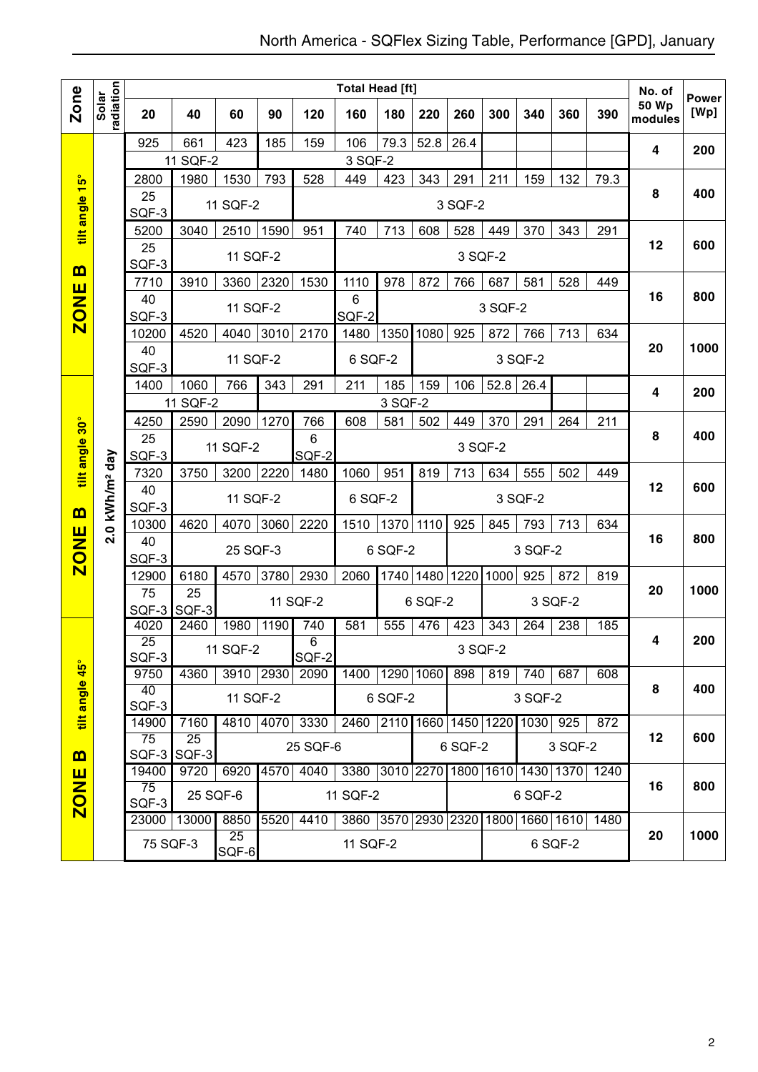|                                 |                        |                          |             |             |      |                         | <b>Total Head [ft]</b>   |           |                |         |         |                          |           |      | No. of                  |                      |
|---------------------------------|------------------------|--------------------------|-------------|-------------|------|-------------------------|--------------------------|-----------|----------------|---------|---------|--------------------------|-----------|------|-------------------------|----------------------|
| <b>Zone</b>                     | radiation<br>Solar     | 20                       | 40          | 60          | 90   | 120                     | 160                      | 180       | 220            | 260     | 300     | 340                      | 360       | 390  | <b>50 Wp</b><br>modules | <b>Power</b><br>[Wp] |
|                                 |                        | 925                      | 661         | 423         | 185  | 159                     | 106                      | 79.3      | 52.8           | 26.4    |         |                          |           |      | 4                       | 200                  |
|                                 |                        |                          | 11 SQF-2    |             |      |                         | 3 SQF-2                  |           |                |         |         |                          |           |      |                         |                      |
| $\frac{15^{\circ}}{15^{\circ}}$ |                        | 2800                     | 1980        | 1530        | 793  | 528                     | 449                      | 423       | 343            | 291     | 211     | 159                      | 132       | 79.3 |                         |                      |
| tilt angle                      |                        | 25<br>SQF-3              |             | 11 SQF-2    |      |                         |                          |           |                | 3 SQF-2 |         |                          |           |      | 8                       | 400                  |
|                                 |                        | 5200                     | 3040        | 2510        | 1590 | 951                     | 740                      | 713       | 608            | 528     | 449     | 370                      | 343       | 291  |                         |                      |
|                                 |                        | 25<br>SQF-3              |             | 11 SQF-2    |      |                         |                          |           |                | 3 SQF-2 |         |                          |           |      | 12                      | 600                  |
| B                               |                        | 7710                     | 3910        | 3360        | 2320 | 1530                    | 1110                     | 978       | 872            | 766     | 687     | 581                      | 528       | 449  |                         |                      |
| <b>ZONE</b>                     |                        | 40<br>SQF-3              |             | 11 SQF-2    |      |                         | 6<br>SQF-2               |           |                |         | 3 SQF-2 |                          |           |      | 16                      | 800                  |
|                                 |                        | 10200                    | 4520        | 4040        | 3010 | 2170                    | 1480                     | 1350      | 1080           | 925     | 872     | 766                      | 713       | 634  |                         |                      |
|                                 |                        | 40<br>SQF-3              |             | 11 SQF-2    |      |                         | 6 SQF-2                  |           |                |         |         | 3 SQF-2                  |           |      | 20                      | 1000                 |
|                                 |                        | 1400                     | 1060        | 766         | 343  | 291                     | 211                      | 185       | 159            | 106     | 52.8    | 26.4                     |           |      |                         |                      |
|                                 |                        |                          | 11 SQF-2    |             |      |                         |                          | 3 SQF-2   |                |         |         |                          |           |      | 4                       | 200                  |
|                                 |                        | 4250                     | 2590        | 2090        | 1270 | 766                     | 608                      | 581       | 502            | 449     | 370     | 291                      | 264       | 211  |                         |                      |
|                                 |                        | 25                       |             |             |      | 6                       |                          |           |                |         |         |                          |           |      | 8                       | 400                  |
| tilt angle 30°                  |                        | SQF-3                    |             | 11 SQF-2    |      | SQF-2                   |                          |           |                | 3 SQF-2 |         |                          |           |      |                         |                      |
|                                 |                        | 7320                     | 3750        | 3200        | 2220 | 1480                    | 1060                     | 951       | 819            | 713     | 634     | 555                      | 502       | 449  |                         |                      |
| <u>ന</u>                        | kWh/m <sup>2</sup> day | 40<br>SQF-3              |             | 11 SQF-2    |      |                         | 6 SQF-2                  |           |                |         |         | 3 SQF-2                  |           |      | 12                      | 600                  |
|                                 |                        | 10300                    | 4620        | 4070        | 3060 | 2220                    | 1510                     | 1370 1110 |                | 925     | 845     | 793                      | 713       | 634  |                         |                      |
| <b>ZONE</b>                     | 2.0                    | 40                       |             |             |      |                         |                          |           |                |         |         |                          |           |      | 16                      | 800                  |
|                                 |                        | SQF-3                    |             | 25 SQF-3    |      |                         |                          | 6 SQF-2   |                |         |         | 3 SQF-2                  |           |      |                         |                      |
|                                 |                        | 12900                    | 6180        | 4570        | 3780 | 2930                    | 2060                     |           | 1740 1480 1220 |         | 1000    | 925                      | 872       | 819  |                         |                      |
|                                 |                        | 75                       | 25          |             |      |                         |                          |           |                |         |         |                          |           |      | 20                      | 1000                 |
|                                 |                        | SQF-3                    | SQF-3       |             |      | 11 SQF-2                |                          |           | 6 SQF-2        |         |         |                          | 3 SQF-2   |      |                         |                      |
|                                 |                        | 4020                     | 2460        | 1980        | 1190 | 740                     | 581                      | 555       | 476            | 423     | 343     | 264                      | 238       | 185  |                         |                      |
|                                 |                        | $\overline{25}$<br>SQF-3 |             | 11 SQF-2    |      | $\overline{6}$<br>SQF-2 |                          |           |                | 3 SQF-2 |         |                          |           |      | 4                       | 200                  |
| tilt angle 45°                  |                        | 9750                     | 4360        | 3910 2930   |      | 2090                    | 1400 1290 1060           |           |                | 898     | 819     | 740                      | 687       | 608  |                         |                      |
|                                 |                        | 40                       |             |             |      |                         |                          |           |                |         |         |                          |           |      | 8                       | 400                  |
|                                 |                        | SQF-3                    |             | 11 SQF-2    |      |                         |                          | 6 SQF-2   |                |         |         | 3 SQF-2                  |           |      |                         |                      |
|                                 |                        | 14900                    | 7160        | 4810 4070   |      | 3330                    | 2460                     |           |                |         |         | 2110 1660 1450 1220 1030 | 925       | 872  |                         |                      |
| $\mathbf{m}$                    |                        | 75<br>SQF-3              | 25<br>SQF-3 |             |      | 25 SQF-6                |                          |           |                | 6 SQF-2 |         |                          | 3 SQF-2   |      | 12                      | 600                  |
|                                 |                        | 19400                    | 9720        | 6920        | 4570 | 4040                    | 3380 3010 2270 1800 1610 |           |                |         |         | 1430 1370                |           | 1240 |                         |                      |
| <b>ZONE</b>                     |                        | 75<br>SQF-3              | 25 SQF-6    |             |      |                         | 11 SQF-2                 |           |                |         |         | 6 SQF-2                  |           |      | 16                      | 800                  |
|                                 |                        | 23000                    | 13000       | 8850        | 5520 | 4410                    | 3860 3570 2930 2320      |           |                |         | 1800    |                          | 1660 1610 | 1480 |                         |                      |
|                                 |                        | 75 SQF-3                 |             | 25<br>SQF-6 |      |                         | 11 SQF-2                 |           |                |         |         |                          | 6 SQF-2   |      | 20                      | 1000                 |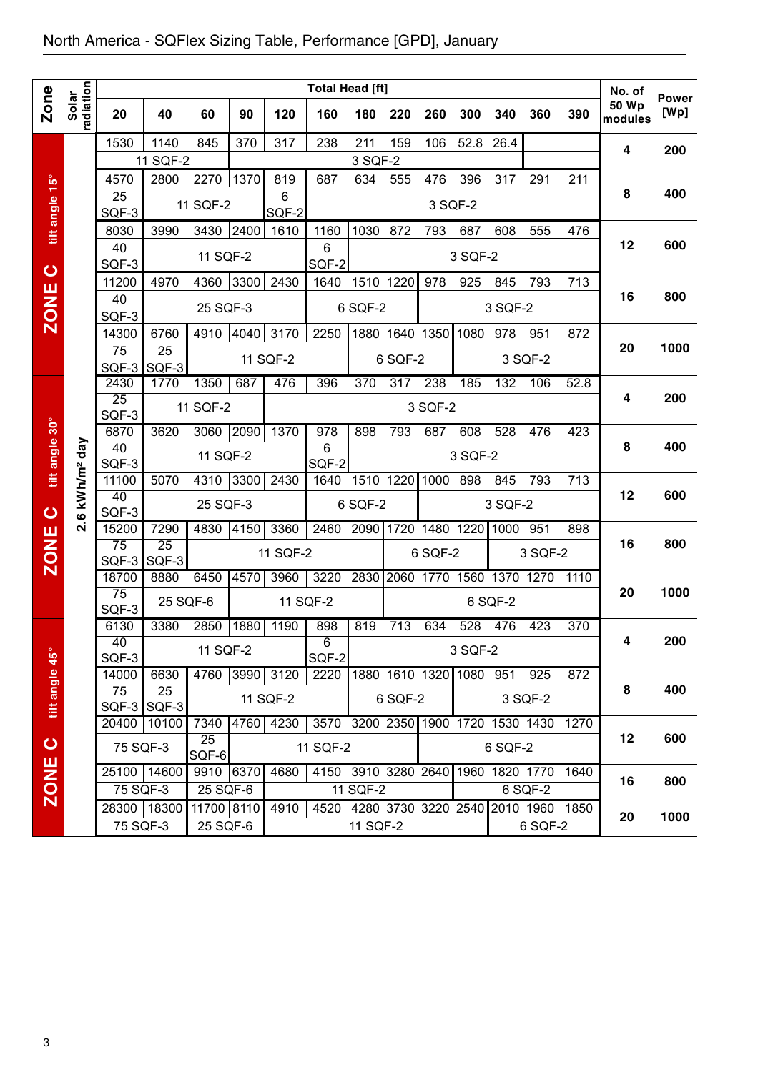|                |                            |                          |                   |                        |      |                | Total Head [ft]                         |                |         |                               |         |         |         |      | No. of                  |                      |
|----------------|----------------------------|--------------------------|-------------------|------------------------|------|----------------|-----------------------------------------|----------------|---------|-------------------------------|---------|---------|---------|------|-------------------------|----------------------|
| <b>Zone</b>    | radiation<br>Solar         | 20                       | 40                | 60                     | 90   | 120            | 160                                     | 180            | 220     | 260                           | 300     | 340     | 360     | 390  | <b>50 Wp</b><br>modules | <b>Power</b><br>[Wp] |
|                |                            | 1530                     | 1140              | 845                    | 370  | 317            | 238                                     | 211            | 159     | 106                           | 52.8    | 26.4    |         |      | 4                       | 200                  |
|                |                            | 4570                     | 11 SQF-2<br>2800  | 2270                   | 1370 | 819            | 687                                     | 3 SQF-2<br>634 | 555     | 476                           | 396     | 317     | 291     | 211  |                         |                      |
| tilt angle 15° |                            | 25                       |                   |                        |      | 6              |                                         |                |         |                               |         |         |         |      | 8                       | 400                  |
|                |                            | SQF-3                    |                   | 11 SQF-2               |      | SQF-2          |                                         |                |         |                               | 3 SQF-2 |         |         |      |                         |                      |
|                |                            | 8030                     | 3990              | 3430                   | 2400 | 1610           | 1160                                    | 1030           | 872     | 793                           | 687     | 608     | 555     | 476  | 12                      | 600                  |
|                |                            | 40<br>SQF-3              |                   | 11 SQF-2               |      |                | 6<br>SQF-2                              |                |         |                               | 3 SQF-2 |         |         |      |                         |                      |
| $\bullet$      |                            | 11200                    | 4970              | 4360                   | 3300 | 2430           | 1640                                    | 1510 1220      |         | 978                           | 925     | 845     | 793     | 713  |                         |                      |
| <b>ZONE</b>    |                            | 40                       |                   | 25 SQF-3               |      |                |                                         | 6 SQF-2        |         |                               |         | 3 SQF-2 |         |      | 16                      | 800                  |
|                |                            | SQF-3<br>14300           | 6760              | 4910                   | 4040 | 3170           | 2250                                    |                |         | 1880 1640 1350                | 1080    | 978     | 951     | 872  |                         |                      |
|                |                            | 75                       | 25                |                        |      | 11 SQF-2       |                                         |                | 6 SQF-2 |                               |         |         | 3 SQF-2 |      | 20                      | 1000                 |
|                |                            | SQF-3<br>2430            | SQF-3<br>1770     | 1350                   | 687  | 476            | 396                                     | 370            | 317     | 238                           | 185     | 132     | 106     | 52.8 |                         |                      |
|                |                            | 25                       |                   |                        |      |                |                                         |                |         |                               |         |         |         |      | 4                       | 200                  |
|                |                            | SQF-3                    |                   | 11 SQF-2               |      |                |                                         |                |         | 3 SQF-2                       |         |         |         |      |                         |                      |
| tilt angle 30° |                            | 6870<br>40               | 3620              | 3060                   | 2090 | 1370           | 978<br>6                                | 898            | 793     | 687                           | 608     | 528     | 476     | 423  | 8                       | 400                  |
|                | 2.6 kWh/m <sup>2</sup> day | SQF-3                    |                   | 11 SQF-2               |      |                | SQF-2                                   |                |         |                               | 3 SQF-2 |         |         |      |                         |                      |
|                |                            | 11100<br>40              | 5070              | 4310 3300              |      | 2430           | 1640                                    |                |         | 1510 1220 1000                | 898     | 845     | 793     | 713  | 12                      | 600                  |
| $\bullet$      |                            | SQF-3                    |                   | 25 SQF-3               |      |                |                                         | 6 SQF-2        |         |                               |         | 3 SQF-2 |         |      |                         |                      |
|                |                            | 15200                    | 7290              | 4830                   | 4150 | 3360           | 2460                                    |                |         | 2090 1720 1480 1220           |         | 1000    | 951     | 898  | 16                      | 800                  |
| <b>ZONE</b>    |                            | $\overline{75}$<br>SQF-3 | 25<br>SQF-3       |                        |      | 11 SQF-2       |                                         |                |         | 6 SQF-2                       |         |         | 3 SQF-2 |      |                         |                      |
|                |                            | 18700                    | 8880              | 6450                   | 4570 | 3960           | 3220                                    |                |         | 2830 2060 1770 1560 1370 1270 |         |         |         | 1110 |                         |                      |
|                |                            | 75<br>SQF-3              | 25 SQF-6          |                        |      |                | 11 SQF-2                                |                |         |                               |         | 6 SQF-2 |         |      | 20                      | 1000                 |
|                |                            | 6130                     | 3380              | 2850                   | 1880 | 1190           | 898                                     | 819            | 713     | 634                           | 528     | 476     | 423     | 370  |                         |                      |
|                |                            | 40<br>SQF-3              |                   | 11 SQF-2               |      |                | 6<br>SQF-2                              |                |         |                               | 3 SQF-2 |         |         |      | 4                       | 200                  |
| tilt angle 45° |                            | 14000                    | 6630              |                        |      | 4760 3990 3120 | 2220 1880 1610 1320 1080 951            |                |         |                               |         |         | 925     | 872  |                         |                      |
|                |                            | 75                       | 25<br>SQF-3 SQF-3 |                        |      | 11 SQF-2       |                                         |                | 6 SQF-2 |                               |         |         | 3 SQF-2 |      | 8                       | 400                  |
|                |                            | 20400                    | 10100             | 7340                   |      | 4760 4230      | 3570 3200 2350 1900 1720 1530 1430 1270 |                |         |                               |         |         |         |      |                         |                      |
| $\bullet$      |                            | 75 SQF-3                 |                   | 25<br>SQF-6            |      |                | 11 SQF-2                                |                |         |                               |         | 6 SQF-2 |         |      | 12                      | 600                  |
|                |                            | 25100 14600              |                   | 9910 6370              |      | 4680           | 4150 3910 3280 2640 1960 1820 1770      |                |         |                               |         |         |         | 1640 |                         |                      |
| <b>ZONE</b>    |                            | 75 SQF-3                 |                   | $25$ SQF-6             |      |                |                                         | 11 SQF-2       |         |                               |         |         | 6 SQF-2 |      | 16                      | 800                  |
|                |                            | 75 SQF-3                 | 28300 18300       | 11700 8110<br>25 SQF-6 |      | 4910           | 4520 4280 3730 3220 2540 2010 1960      | 11 SQF-2       |         |                               |         |         | 6 SQF-2 | 1850 | 20                      | 1000                 |
|                |                            |                          |                   |                        |      |                |                                         |                |         |                               |         |         |         |      |                         |                      |
|                |                            |                          |                   |                        |      |                |                                         |                |         |                               |         |         |         |      |                         |                      |
|                |                            |                          |                   |                        |      |                |                                         |                |         |                               |         |         |         |      |                         |                      |
|                |                            |                          |                   |                        |      |                |                                         |                |         |                               |         |         |         |      |                         |                      |
|                |                            |                          |                   |                        |      |                |                                         |                |         |                               |         |         |         |      |                         |                      |
|                |                            |                          |                   |                        |      |                |                                         |                |         |                               |         |         |         |      |                         |                      |
|                |                            |                          |                   |                        |      |                |                                         |                |         |                               |         |         |         |      |                         |                      |
|                |                            |                          |                   |                        |      |                |                                         |                |         |                               |         |         |         |      |                         |                      |
| 3              |                            |                          |                   |                        |      |                |                                         |                |         |                               |         |         |         |      |                         |                      |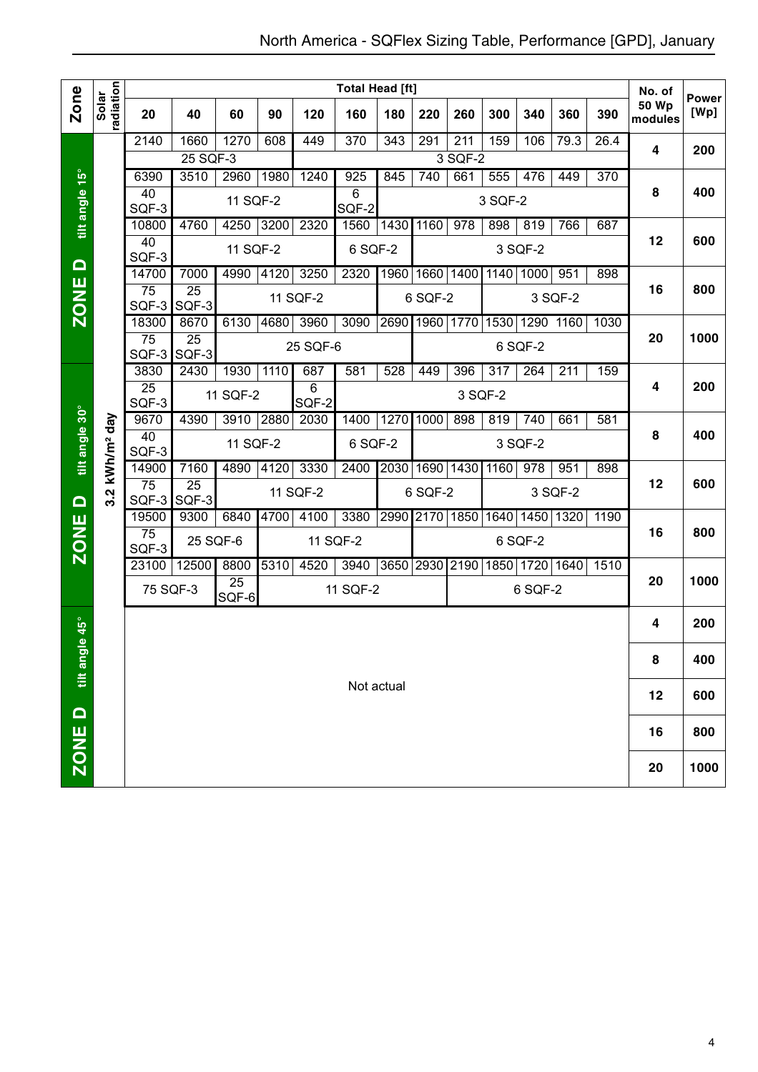|                    |                        |                          |                          |                          |      |                         | <b>Total Head [ft]</b> |                  |         |                  |         |                |           |      | No. of                  | <b>Power</b> |
|--------------------|------------------------|--------------------------|--------------------------|--------------------------|------|-------------------------|------------------------|------------------|---------|------------------|---------|----------------|-----------|------|-------------------------|--------------|
| Zone               | radiation<br>Solar     | 20                       | 40                       | 60                       | 90   | 120                     | 160                    | 180              | 220     | 260              | 300     | 340            | 360       | 390  | <b>50 Wp</b><br>modules | [Wp]         |
|                    |                        | 2140                     | 1660                     | 1270                     | 608  | 449                     | $\overline{370}$       | $\overline{343}$ | 291     | $\overline{211}$ | 159     | 106            | 79.3      | 26.4 | 4                       | 200          |
|                    |                        |                          | 25 SQF-3                 |                          |      |                         |                        |                  |         | 3 SQF-2          |         |                |           |      |                         |              |
|                    |                        | 6390                     | 3510                     | 2960                     | 1980 | 1240                    | 925                    | 845              | 740     | 661              | 555     | 476            | 449       | 370  |                         |              |
|                    |                        | 40<br>SQF-3              |                          | 11 SQF-2                 |      |                         | 6<br>SQF-2             |                  |         |                  | 3 SQF-2 |                |           |      | 8                       | 400          |
| tilt angle 15°     |                        | 10800                    | 4760                     | 4250                     | 3200 | 2320                    | 1560                   | 1430             | 1160    | $\overline{978}$ | 898     | 819            | 766       | 687  |                         |              |
|                    |                        | 40<br>SQF-3              |                          | 11 SQF-2                 |      |                         | 6 SQF-2                |                  |         |                  |         | 3 SQF-2        |           |      | 12                      | 600          |
| $\Omega$           |                        | 14700                    | 7000                     | 4990                     | 4120 | 3250                    | 2320                   | 1960             | 1660    | 1400             | 1140    | 1000           | 951       | 898  |                         |              |
| <b>ZONE</b>        |                        | 75<br>SQF-3              | $\overline{25}$<br>SQF-3 |                          |      | 11 SQF-2                |                        |                  | 6 SQF-2 |                  |         |                | 3 SQF-2   |      | 16                      | 800          |
|                    |                        | 18300                    | 8670                     | 6130                     | 4680 | 3960                    | 3090                   | 2690             | 1960    | 1770             | 1530    |                | 1290 1160 | 1030 |                         |              |
|                    |                        | $\overline{75}$<br>SQF-3 | $\overline{25}$<br>SQF-3 |                          |      | 25 SQF-6                |                        |                  |         |                  |         | 6 SQF-2        |           |      | 20                      | 1000         |
|                    |                        | 3830                     | 2430                     | 1930                     | 1110 | 687                     | 581                    | 528              | 449     | 396              | 317     | 264            | 211       | 159  |                         |              |
|                    |                        | $\overline{25}$<br>SQF-3 |                          | 11 SQF-2                 |      | $\overline{6}$<br>SQF-2 |                        |                  |         | 3 SQF-2          |         |                |           |      | 4                       | 200          |
|                    |                        | 9670                     | 4390                     | 3910                     | 2880 | 2030                    | 1400                   | 1270             | 1000    | 898              | 819     | 740            | 661       | 581  |                         |              |
| tilt angle 30°     | kWh/m <sup>2</sup> day | 40<br>SQF-3              |                          | 11 SQF-2                 |      |                         | 6 SQF-2                |                  |         |                  |         | 3 SQF-2        |           |      | 8                       | 400          |
|                    |                        | 14900                    | 7160                     | 4890                     | 4120 | 3330                    | 2400                   | 2030             | 1690    | 1430             | 1160    | 978            | 951       | 898  |                         |              |
| $\Omega$           | 3.2                    | 75<br>SQF-3              | $\overline{25}$<br>SQF-3 |                          |      | 11 SQF-2                |                        |                  | 6 SQF-2 |                  |         |                | 3 SQF-2   |      | 12                      | 600          |
|                    |                        | 19500                    | 9300                     | 6840                     | 4700 | 4100                    | 3380                   | 2990             | 2170    | 1850             | 1640    |                | 1450 1320 | 1190 |                         |              |
| <b>ZONE</b>        |                        | $\overline{75}$<br>SQF-3 | 25 SQF-6                 |                          |      |                         | 11 SQF-2               |                  |         |                  |         | 6 SQF-2        |           |      | 16                      | 800          |
|                    |                        | 23100                    | 12500                    | 8800                     | 5310 | 4520                    | 3940                   |                  |         | 3650 2930 2190   |         | 1850 1720 1640 |           | 1510 |                         |              |
|                    |                        | 75 SQF-3                 |                          | $\overline{25}$<br>SQF-6 |      |                         | 11 SQF-2               |                  |         |                  |         | 6 SQF-2        |           |      | 20                      | 1000         |
| $\overline{6}$ 45° |                        |                          |                          |                          |      |                         |                        |                  |         |                  |         |                |           |      | 4                       | 200          |
|                    |                        |                          |                          |                          |      |                         |                        |                  |         |                  |         |                |           |      | 8                       | 400          |
| tilt angl          |                        |                          |                          |                          |      |                         |                        | Not actual       |         |                  |         |                |           |      |                         |              |
|                    |                        |                          |                          |                          |      |                         |                        |                  |         |                  |         |                |           |      | 12                      | 600          |
| ZONE D             |                        |                          |                          |                          |      |                         |                        |                  |         |                  |         |                |           |      | 16                      | 800          |
|                    |                        |                          |                          |                          |      |                         |                        |                  |         |                  |         |                |           |      | 20                      | 1000         |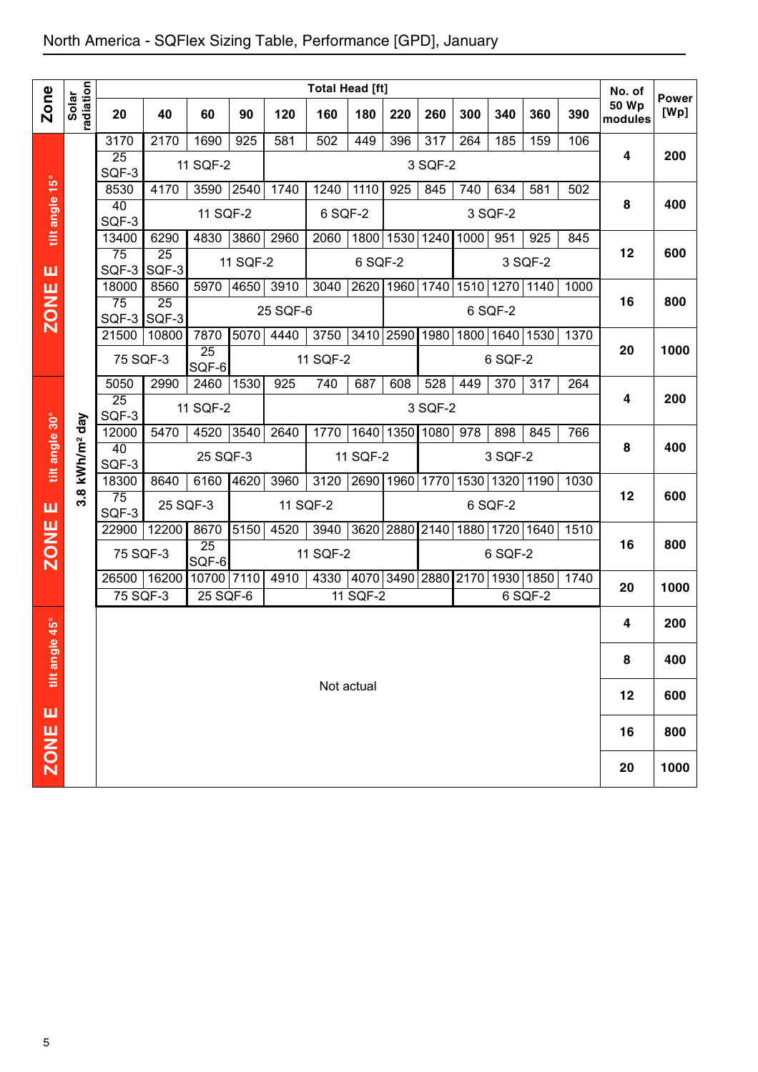| Zone<br>Solar<br><b>50 Wp</b><br>20<br>40<br>60<br>90<br>120<br>160<br>180<br>220<br>260<br>300<br>340<br>360<br>390<br>modules<br>3170<br>2170<br>1690<br>925<br>581<br>502<br>317<br>264<br>159<br>106<br>449<br>396<br>185<br>4<br>$\overline{25}$<br>11 SQF-2<br>3 SQF-2<br>SQF-3<br>tilt angle 15°<br>8530<br>3590<br> 2540<br>1110<br>4170<br>1740<br>1240<br>925<br>845<br>634<br>581<br>502<br>740<br>40<br>8<br>11 SQF-2<br>6 SQF-2<br>3 SQF-2<br>SQF-3<br>4830<br>3860<br>13400<br>6290<br>2960<br>2060<br>1800<br>1530<br>1240 1000<br>951<br>925<br>845<br>12<br>75<br>25<br>11 SQF-2<br>6 SQF-2<br>3 SQF-2<br>SQF-3<br>SQF-3<br>ш<br>4650<br>3910<br>2620 1960 1740<br>1510 1270 1140<br>18000<br>8560<br>5970<br>3040<br>1000<br><b>ZONE</b><br>$\overline{75}$<br>16<br>$\overline{25}$<br>25 SQF-6<br>6 SQF-2<br>SQF-3 SQF-3<br>5070<br>4440<br>3750<br>3410 2590<br>1980<br>1800 1640 1530<br>21500<br>10800<br>7870<br>1370<br>20<br>$\overline{25}$<br>75 SQF-3<br>11 SQF-2<br>6 SQF-2<br>SQF-6<br>5050<br>2990<br>1530<br>740<br>528<br>2460<br>925<br>687<br>608<br>449<br>370<br>317<br>264<br>4<br>$\overline{25}$<br>11 SQF-2<br>3 SQF-2<br>SQF-3<br>tilt angle 30°<br>kWh/m <sup>2</sup> day<br>12000<br>4520<br>3540<br>1640 1350 1080<br>$\overline{978}$<br>5470<br>2640<br>1770<br>898<br>845<br>766<br>8<br>40<br>25 SQF-3<br>11 SQF-2<br>3 SQF-2<br>SQF-3<br>18300<br>6160<br>4620<br>3960<br>3120<br>2690<br>1960 1770<br>1530 1320<br> 1190 <br>8640<br>1030<br>$3.\overline{8}$<br>12<br>75<br>25 SQF-3<br>11 SQF-2<br>6 SQF-2<br>ш<br>SQF-3<br><b>ZONE</b><br>8670<br>3620 2880 2140 1880 1720 1640<br>22900<br>12200<br>5150<br>4520<br>3940<br>1510<br>16<br>25<br>75 SQF-3<br>11 SQF-2<br>6 SQF-2<br>SQF-6<br> 4070 3490 2880 2170 1930 1850<br>26500<br>16200<br>10700 7110<br>4910<br>4330<br>1740<br>20<br>$\overline{75}$ SQF-3<br>11 SQF-2<br>25 SQF-6<br>6 SQF-2<br>$45^{\circ}$<br>4<br>$\mathbf{a}$<br>tilt angl<br>8<br>Not actual<br>12 |   |           |  |  |  |  |  | <b>Total Head [ft]</b> |  |  |  |  |  |  |  | No. of |                      |
|-----------------------------------------------------------------------------------------------------------------------------------------------------------------------------------------------------------------------------------------------------------------------------------------------------------------------------------------------------------------------------------------------------------------------------------------------------------------------------------------------------------------------------------------------------------------------------------------------------------------------------------------------------------------------------------------------------------------------------------------------------------------------------------------------------------------------------------------------------------------------------------------------------------------------------------------------------------------------------------------------------------------------------------------------------------------------------------------------------------------------------------------------------------------------------------------------------------------------------------------------------------------------------------------------------------------------------------------------------------------------------------------------------------------------------------------------------------------------------------------------------------------------------------------------------------------------------------------------------------------------------------------------------------------------------------------------------------------------------------------------------------------------------------------------------------------------------------------------------------------------------------------------------------------------------------------------------------------------------------------|---|-----------|--|--|--|--|--|------------------------|--|--|--|--|--|--|--|--------|----------------------|
|                                                                                                                                                                                                                                                                                                                                                                                                                                                                                                                                                                                                                                                                                                                                                                                                                                                                                                                                                                                                                                                                                                                                                                                                                                                                                                                                                                                                                                                                                                                                                                                                                                                                                                                                                                                                                                                                                                                                                                                         |   | radiation |  |  |  |  |  |                        |  |  |  |  |  |  |  |        | <b>Power</b><br>[Wp] |
|                                                                                                                                                                                                                                                                                                                                                                                                                                                                                                                                                                                                                                                                                                                                                                                                                                                                                                                                                                                                                                                                                                                                                                                                                                                                                                                                                                                                                                                                                                                                                                                                                                                                                                                                                                                                                                                                                                                                                                                         |   |           |  |  |  |  |  |                        |  |  |  |  |  |  |  |        |                      |
|                                                                                                                                                                                                                                                                                                                                                                                                                                                                                                                                                                                                                                                                                                                                                                                                                                                                                                                                                                                                                                                                                                                                                                                                                                                                                                                                                                                                                                                                                                                                                                                                                                                                                                                                                                                                                                                                                                                                                                                         |   |           |  |  |  |  |  |                        |  |  |  |  |  |  |  |        | 200                  |
|                                                                                                                                                                                                                                                                                                                                                                                                                                                                                                                                                                                                                                                                                                                                                                                                                                                                                                                                                                                                                                                                                                                                                                                                                                                                                                                                                                                                                                                                                                                                                                                                                                                                                                                                                                                                                                                                                                                                                                                         |   |           |  |  |  |  |  |                        |  |  |  |  |  |  |  |        |                      |
|                                                                                                                                                                                                                                                                                                                                                                                                                                                                                                                                                                                                                                                                                                                                                                                                                                                                                                                                                                                                                                                                                                                                                                                                                                                                                                                                                                                                                                                                                                                                                                                                                                                                                                                                                                                                                                                                                                                                                                                         |   |           |  |  |  |  |  |                        |  |  |  |  |  |  |  |        | 400                  |
|                                                                                                                                                                                                                                                                                                                                                                                                                                                                                                                                                                                                                                                                                                                                                                                                                                                                                                                                                                                                                                                                                                                                                                                                                                                                                                                                                                                                                                                                                                                                                                                                                                                                                                                                                                                                                                                                                                                                                                                         |   |           |  |  |  |  |  |                        |  |  |  |  |  |  |  |        |                      |
|                                                                                                                                                                                                                                                                                                                                                                                                                                                                                                                                                                                                                                                                                                                                                                                                                                                                                                                                                                                                                                                                                                                                                                                                                                                                                                                                                                                                                                                                                                                                                                                                                                                                                                                                                                                                                                                                                                                                                                                         |   |           |  |  |  |  |  |                        |  |  |  |  |  |  |  |        |                      |
|                                                                                                                                                                                                                                                                                                                                                                                                                                                                                                                                                                                                                                                                                                                                                                                                                                                                                                                                                                                                                                                                                                                                                                                                                                                                                                                                                                                                                                                                                                                                                                                                                                                                                                                                                                                                                                                                                                                                                                                         |   |           |  |  |  |  |  |                        |  |  |  |  |  |  |  |        | 600                  |
|                                                                                                                                                                                                                                                                                                                                                                                                                                                                                                                                                                                                                                                                                                                                                                                                                                                                                                                                                                                                                                                                                                                                                                                                                                                                                                                                                                                                                                                                                                                                                                                                                                                                                                                                                                                                                                                                                                                                                                                         |   |           |  |  |  |  |  |                        |  |  |  |  |  |  |  |        |                      |
|                                                                                                                                                                                                                                                                                                                                                                                                                                                                                                                                                                                                                                                                                                                                                                                                                                                                                                                                                                                                                                                                                                                                                                                                                                                                                                                                                                                                                                                                                                                                                                                                                                                                                                                                                                                                                                                                                                                                                                                         |   |           |  |  |  |  |  |                        |  |  |  |  |  |  |  |        | 800                  |
|                                                                                                                                                                                                                                                                                                                                                                                                                                                                                                                                                                                                                                                                                                                                                                                                                                                                                                                                                                                                                                                                                                                                                                                                                                                                                                                                                                                                                                                                                                                                                                                                                                                                                                                                                                                                                                                                                                                                                                                         |   |           |  |  |  |  |  |                        |  |  |  |  |  |  |  |        |                      |
|                                                                                                                                                                                                                                                                                                                                                                                                                                                                                                                                                                                                                                                                                                                                                                                                                                                                                                                                                                                                                                                                                                                                                                                                                                                                                                                                                                                                                                                                                                                                                                                                                                                                                                                                                                                                                                                                                                                                                                                         |   |           |  |  |  |  |  |                        |  |  |  |  |  |  |  |        | 1000                 |
|                                                                                                                                                                                                                                                                                                                                                                                                                                                                                                                                                                                                                                                                                                                                                                                                                                                                                                                                                                                                                                                                                                                                                                                                                                                                                                                                                                                                                                                                                                                                                                                                                                                                                                                                                                                                                                                                                                                                                                                         |   |           |  |  |  |  |  |                        |  |  |  |  |  |  |  |        |                      |
|                                                                                                                                                                                                                                                                                                                                                                                                                                                                                                                                                                                                                                                                                                                                                                                                                                                                                                                                                                                                                                                                                                                                                                                                                                                                                                                                                                                                                                                                                                                                                                                                                                                                                                                                                                                                                                                                                                                                                                                         |   |           |  |  |  |  |  |                        |  |  |  |  |  |  |  |        |                      |
|                                                                                                                                                                                                                                                                                                                                                                                                                                                                                                                                                                                                                                                                                                                                                                                                                                                                                                                                                                                                                                                                                                                                                                                                                                                                                                                                                                                                                                                                                                                                                                                                                                                                                                                                                                                                                                                                                                                                                                                         |   |           |  |  |  |  |  |                        |  |  |  |  |  |  |  |        | 200                  |
|                                                                                                                                                                                                                                                                                                                                                                                                                                                                                                                                                                                                                                                                                                                                                                                                                                                                                                                                                                                                                                                                                                                                                                                                                                                                                                                                                                                                                                                                                                                                                                                                                                                                                                                                                                                                                                                                                                                                                                                         |   |           |  |  |  |  |  |                        |  |  |  |  |  |  |  |        |                      |
|                                                                                                                                                                                                                                                                                                                                                                                                                                                                                                                                                                                                                                                                                                                                                                                                                                                                                                                                                                                                                                                                                                                                                                                                                                                                                                                                                                                                                                                                                                                                                                                                                                                                                                                                                                                                                                                                                                                                                                                         |   |           |  |  |  |  |  |                        |  |  |  |  |  |  |  |        | 400                  |
|                                                                                                                                                                                                                                                                                                                                                                                                                                                                                                                                                                                                                                                                                                                                                                                                                                                                                                                                                                                                                                                                                                                                                                                                                                                                                                                                                                                                                                                                                                                                                                                                                                                                                                                                                                                                                                                                                                                                                                                         |   |           |  |  |  |  |  |                        |  |  |  |  |  |  |  |        |                      |
|                                                                                                                                                                                                                                                                                                                                                                                                                                                                                                                                                                                                                                                                                                                                                                                                                                                                                                                                                                                                                                                                                                                                                                                                                                                                                                                                                                                                                                                                                                                                                                                                                                                                                                                                                                                                                                                                                                                                                                                         |   |           |  |  |  |  |  |                        |  |  |  |  |  |  |  |        | 600                  |
|                                                                                                                                                                                                                                                                                                                                                                                                                                                                                                                                                                                                                                                                                                                                                                                                                                                                                                                                                                                                                                                                                                                                                                                                                                                                                                                                                                                                                                                                                                                                                                                                                                                                                                                                                                                                                                                                                                                                                                                         |   |           |  |  |  |  |  |                        |  |  |  |  |  |  |  |        |                      |
|                                                                                                                                                                                                                                                                                                                                                                                                                                                                                                                                                                                                                                                                                                                                                                                                                                                                                                                                                                                                                                                                                                                                                                                                                                                                                                                                                                                                                                                                                                                                                                                                                                                                                                                                                                                                                                                                                                                                                                                         |   |           |  |  |  |  |  |                        |  |  |  |  |  |  |  |        |                      |
|                                                                                                                                                                                                                                                                                                                                                                                                                                                                                                                                                                                                                                                                                                                                                                                                                                                                                                                                                                                                                                                                                                                                                                                                                                                                                                                                                                                                                                                                                                                                                                                                                                                                                                                                                                                                                                                                                                                                                                                         |   |           |  |  |  |  |  |                        |  |  |  |  |  |  |  |        | 800                  |
|                                                                                                                                                                                                                                                                                                                                                                                                                                                                                                                                                                                                                                                                                                                                                                                                                                                                                                                                                                                                                                                                                                                                                                                                                                                                                                                                                                                                                                                                                                                                                                                                                                                                                                                                                                                                                                                                                                                                                                                         |   |           |  |  |  |  |  |                        |  |  |  |  |  |  |  |        |                      |
|                                                                                                                                                                                                                                                                                                                                                                                                                                                                                                                                                                                                                                                                                                                                                                                                                                                                                                                                                                                                                                                                                                                                                                                                                                                                                                                                                                                                                                                                                                                                                                                                                                                                                                                                                                                                                                                                                                                                                                                         |   |           |  |  |  |  |  |                        |  |  |  |  |  |  |  |        | 1000                 |
|                                                                                                                                                                                                                                                                                                                                                                                                                                                                                                                                                                                                                                                                                                                                                                                                                                                                                                                                                                                                                                                                                                                                                                                                                                                                                                                                                                                                                                                                                                                                                                                                                                                                                                                                                                                                                                                                                                                                                                                         |   |           |  |  |  |  |  |                        |  |  |  |  |  |  |  |        | 200                  |
|                                                                                                                                                                                                                                                                                                                                                                                                                                                                                                                                                                                                                                                                                                                                                                                                                                                                                                                                                                                                                                                                                                                                                                                                                                                                                                                                                                                                                                                                                                                                                                                                                                                                                                                                                                                                                                                                                                                                                                                         |   |           |  |  |  |  |  |                        |  |  |  |  |  |  |  |        |                      |
|                                                                                                                                                                                                                                                                                                                                                                                                                                                                                                                                                                                                                                                                                                                                                                                                                                                                                                                                                                                                                                                                                                                                                                                                                                                                                                                                                                                                                                                                                                                                                                                                                                                                                                                                                                                                                                                                                                                                                                                         |   |           |  |  |  |  |  |                        |  |  |  |  |  |  |  |        | 400                  |
|                                                                                                                                                                                                                                                                                                                                                                                                                                                                                                                                                                                                                                                                                                                                                                                                                                                                                                                                                                                                                                                                                                                                                                                                                                                                                                                                                                                                                                                                                                                                                                                                                                                                                                                                                                                                                                                                                                                                                                                         |   |           |  |  |  |  |  |                        |  |  |  |  |  |  |  |        |                      |
|                                                                                                                                                                                                                                                                                                                                                                                                                                                                                                                                                                                                                                                                                                                                                                                                                                                                                                                                                                                                                                                                                                                                                                                                                                                                                                                                                                                                                                                                                                                                                                                                                                                                                                                                                                                                                                                                                                                                                                                         |   |           |  |  |  |  |  |                        |  |  |  |  |  |  |  |        | 600                  |
|                                                                                                                                                                                                                                                                                                                                                                                                                                                                                                                                                                                                                                                                                                                                                                                                                                                                                                                                                                                                                                                                                                                                                                                                                                                                                                                                                                                                                                                                                                                                                                                                                                                                                                                                                                                                                                                                                                                                                                                         | ш |           |  |  |  |  |  |                        |  |  |  |  |  |  |  |        |                      |
| 16                                                                                                                                                                                                                                                                                                                                                                                                                                                                                                                                                                                                                                                                                                                                                                                                                                                                                                                                                                                                                                                                                                                                                                                                                                                                                                                                                                                                                                                                                                                                                                                                                                                                                                                                                                                                                                                                                                                                                                                      |   |           |  |  |  |  |  |                        |  |  |  |  |  |  |  |        | 800                  |
| ZONE<br>20                                                                                                                                                                                                                                                                                                                                                                                                                                                                                                                                                                                                                                                                                                                                                                                                                                                                                                                                                                                                                                                                                                                                                                                                                                                                                                                                                                                                                                                                                                                                                                                                                                                                                                                                                                                                                                                                                                                                                                              |   |           |  |  |  |  |  |                        |  |  |  |  |  |  |  |        | 1000                 |
|                                                                                                                                                                                                                                                                                                                                                                                                                                                                                                                                                                                                                                                                                                                                                                                                                                                                                                                                                                                                                                                                                                                                                                                                                                                                                                                                                                                                                                                                                                                                                                                                                                                                                                                                                                                                                                                                                                                                                                                         |   |           |  |  |  |  |  |                        |  |  |  |  |  |  |  |        |                      |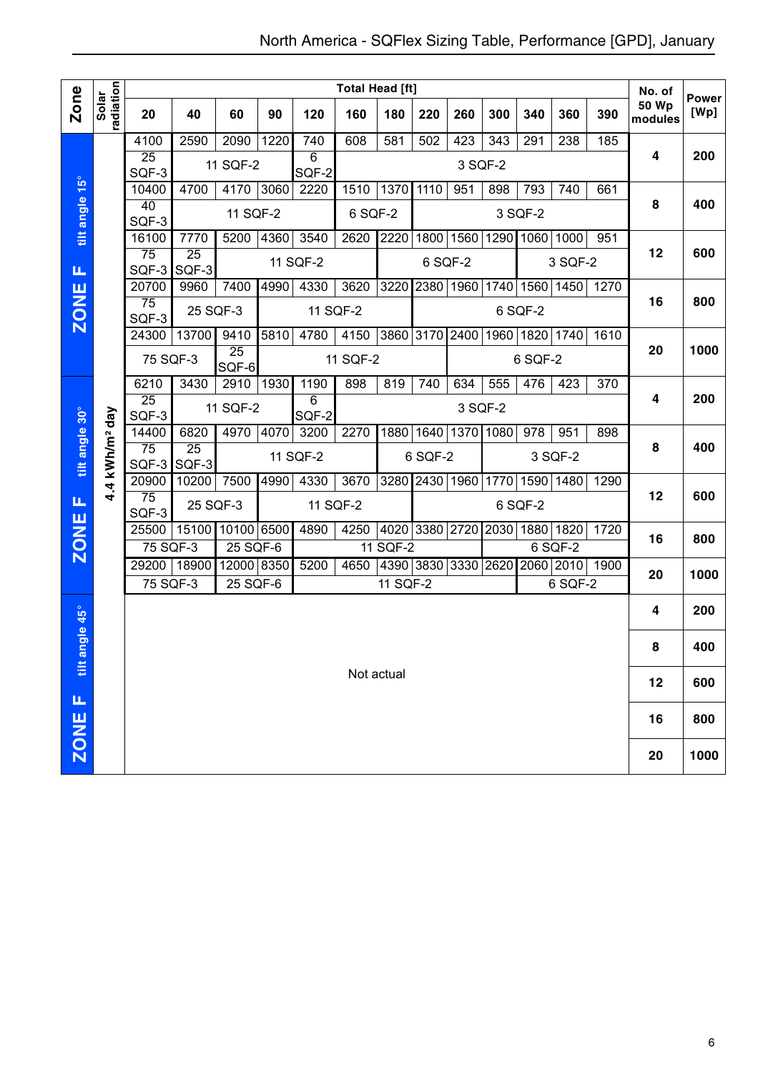|                 |                        |                          |                          |                          |      |                         | <b>Total Head [ft]</b> |            |                               |           |                |                |              |           | No. of                  |                      |
|-----------------|------------------------|--------------------------|--------------------------|--------------------------|------|-------------------------|------------------------|------------|-------------------------------|-----------|----------------|----------------|--------------|-----------|-------------------------|----------------------|
| <b>Zone</b>     | radiation<br>Solar     | 20                       | 40                       | 60                       | 90   | 120                     | 160                    | 180        | 220                           | 260       | 300            | 340            | 360          | 390       | <b>50 Wp</b><br>modules | <b>Power</b><br>[Wp] |
|                 |                        | 4100                     | 2590                     | 2090                     | 1220 | 740                     | 608                    | 581        | 502                           | 423       | 343            | 291            | 238          | 185       |                         |                      |
|                 |                        | 25<br>SQF-3              |                          | 11 SQF-2                 |      | $\overline{6}$<br>SQF-2 |                        |            |                               | 3 SQF-2   |                |                |              |           | 4                       | 200                  |
|                 |                        | 10400                    | 4700                     | 4170 3060                |      | 2220                    | 1510                   | 1370       | 1110                          | 951       | 898            | 793            | 740          | 661       |                         |                      |
| tilt angle 15°  |                        | 40<br>SQF-3              |                          | 11 SQF-2                 |      |                         | 6 SQF-2                |            |                               |           |                | 3 SQF-2        |              |           | 8                       | 400                  |
|                 |                        | 16100                    | 7770                     | 5200                     | 4360 | 3540                    | 2620                   | 2220       |                               | 1800 1560 |                | 1290 1060      | 1000         | 951       |                         |                      |
| Щ               |                        | $\overline{75}$<br>SQF-3 | $\overline{25}$<br>SQF-3 |                          |      | 11 SQF-2                |                        |            | 6 SQF-2                       |           |                |                | 3 SQF-2      |           | 12                      | 600                  |
|                 |                        | 20700                    | 9960                     | 7400                     | 4990 | 4330                    | 3620                   | 3220       | 2380 1960                     |           | 1740           | 1560           |              | 1450 1270 |                         |                      |
| <b>ZONE</b>     |                        | $\overline{75}$<br>SQF-3 | 25 SQF-3                 |                          |      |                         | 11 SQF-2               |            |                               |           |                | 6 SQF-2        |              |           | 16                      | 800                  |
|                 |                        | 24300                    | 13700                    | 9410                     | 5810 | 4780                    | 4150                   | 3860 3170  |                               | 2400      |                | 1960 1820 1740 |              | 1610      |                         |                      |
|                 |                        | 75 SQF-3                 |                          | $\overline{25}$<br>SQF-6 |      |                         | 11 SQF-2               |            |                               |           |                | 6 SQF-2        |              |           | 20                      | 1000                 |
|                 |                        | 6210                     | 3430                     | 2910                     | 1930 | 1190                    | 898                    | 819        | 740                           | 634       | 555            | 476            | 423          | 370       |                         |                      |
|                 |                        | $\overline{25}$<br>SQF-3 |                          | 11 SQF-2                 |      | 6<br>SQF-2              |                        |            |                               | 3 SQF-2   |                |                |              |           | 4                       | 200                  |
|                 |                        | 14400                    | 6820                     | 4970                     | 4070 | 3200                    | 2270                   |            | 1880 1640                     | 1370      | 1080           | 978            | 951          | 898       | 8                       | 400                  |
| tilt angle 30°  | kWh/m <sup>2</sup> day | 75<br>SQF-3              | $\overline{25}$<br>SQF-3 |                          |      | 11 SQF-2                |                        |            | 6 SQF-2                       |           |                |                | 3 SQF-2      |           |                         |                      |
|                 | 4                      | 20900                    | 10200                    | 7500                     | 4990 | 4330                    | 3670                   |            | 3280 2430 1960                |           | 1770           |                | 1590 1480    | 1290      |                         |                      |
| Щ               |                        | $\overline{75}$<br>SQF-3 | 25 SQF-3                 |                          |      | 11 SQF-2                |                        |            |                               |           |                | 6 SQF-2        |              |           | 12                      | 600                  |
|                 |                        | 25500                    |                          | 15100 10100 6500         |      | 4890                    | 4250                   |            | 4020 3380 2720                |           | 2030 1880 1820 |                |              | 1720      | 16                      | 800                  |
| <b>ZONE</b>     |                        | 75 SQF-3                 |                          | 25 SQF-6                 |      |                         | 4650                   | 11 SQF-2   |                               |           |                |                | $6$ SQF- $2$ |           |                         |                      |
|                 |                        | 29200<br>75 SQF-3        | 18900                    | 12000 8350<br>25 SQF-6   |      | 5200                    |                        | 11 SQF-2   | 4390 3830 3330 2620 2060 2010 |           |                |                | 6 SQF-2      | 1900      | 20                      | 1000                 |
| <b>igle 45°</b> |                        |                          |                          |                          |      |                         |                        |            |                               |           |                |                |              |           | 4                       | 200                  |
|                 |                        |                          |                          |                          |      |                         |                        |            |                               |           |                |                |              |           | 8                       | 400                  |
| tilt an         |                        |                          |                          |                          |      |                         |                        | Not actual |                               |           |                |                |              |           | 12                      | 600                  |
| щ               |                        |                          |                          |                          |      |                         |                        |            |                               |           |                |                |              |           | 16                      | 800                  |
| ZONE            |                        |                          |                          |                          |      |                         |                        |            |                               |           |                |                |              |           |                         |                      |
|                 |                        |                          |                          |                          |      |                         |                        |            |                               |           |                |                |              |           | 20                      | 1000                 |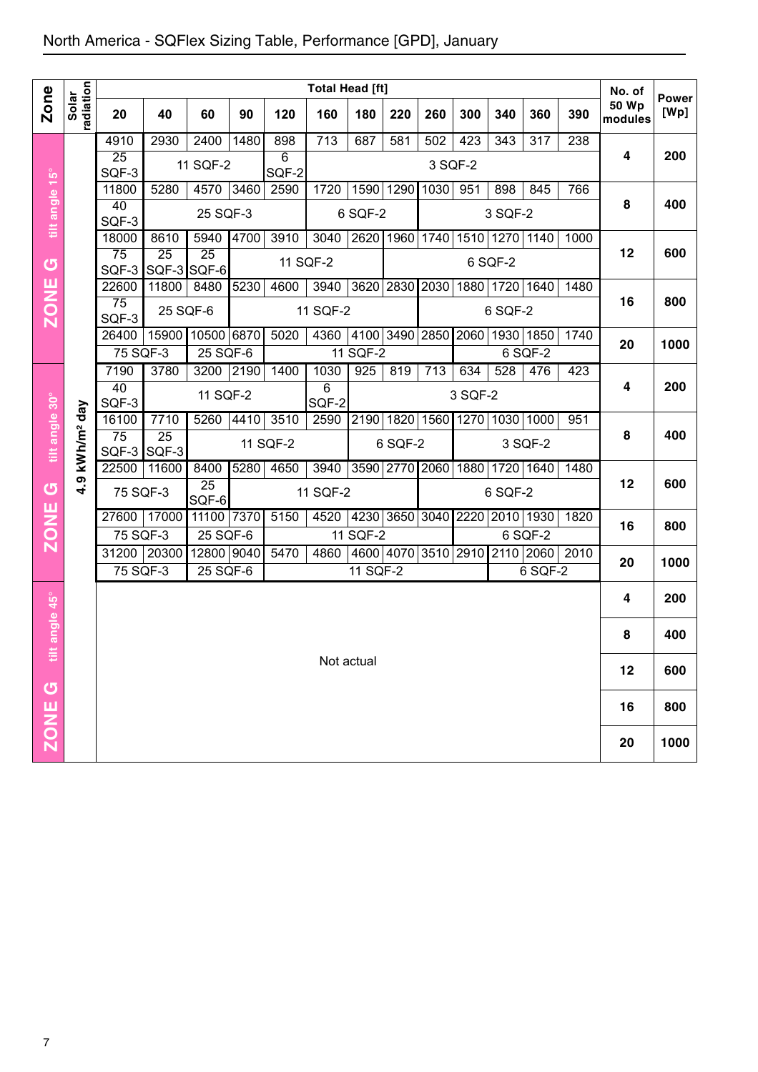|                |                        |                |             |                     |      |            | <b>Total Head [ft]</b> |            |                |         |         |         |                                                |      | No. of                  |                      |
|----------------|------------------------|----------------|-------------|---------------------|------|------------|------------------------|------------|----------------|---------|---------|---------|------------------------------------------------|------|-------------------------|----------------------|
| <b>Zone</b>    | radiation              | 20             | 40          | 60                  | 90   | 120        | 160                    | 180        | 220            | 260     | 300     | 340     | 360                                            | 390  | <b>50 Wp</b><br>modules | <b>Power</b><br>[Wp] |
|                |                        | 4910           | 2930        | 2400                | 1480 | 898        | $\overline{713}$       | 687        | 581            | 502     | 423     | 343     | 317                                            | 238  |                         |                      |
|                |                        | 25<br>SQF-3    |             | 11 SQF-2            |      | 6<br>SQF-2 |                        |            |                | 3 SQF-2 |         |         |                                                |      | 4                       | 200                  |
|                |                        | 11800          | 5280        | 4570                | 3460 | 2590       | 1720                   | 1590       | 1290           | 1030    | 951     | 898     | 845                                            | 766  |                         |                      |
| tilt angle 15° |                        | 40             |             | 25 SQF-3            |      |            |                        | 6 SQF-2    |                |         |         | 3 SQF-2 |                                                |      | 8                       | 400                  |
|                |                        | SQF-3<br>18000 | 8610        | 5940                | 4700 | 3910       | 3040                   |            | 2620 1960      | 1740    |         |         | 1510 1270 1140                                 | 1000 |                         |                      |
|                |                        | 75             | 25          | $\overline{25}$     |      |            |                        |            |                |         |         |         |                                                |      | 12                      | 600                  |
| G              |                        | SQF-3          | SQF-3 SQF-6 |                     |      | 11 SQF-2   |                        |            |                |         |         | 6 SQF-2 |                                                |      |                         |                      |
| <b>ZONE</b>    |                        | 22600<br>75    | 11800       | 8480                | 5230 | 4600       | 3940                   | 3620       | 2830           | 2030    |         |         | 1880   1720   1640                             | 1480 | 16                      | 800                  |
|                |                        | SQF-3          | 25 SQF-6    |                     |      |            | 11 SQF-2               |            |                |         |         | 6 SQF-2 |                                                |      |                         |                      |
|                |                        | 26400          |             | 15900 10500 6870    |      | 5020       | 4360                   | 4100       | 3490 2850      |         |         |         | 2060 1930 1850                                 | 1740 | 20                      | 1000                 |
|                |                        | 75 SQF-3       |             | $25$ SQF-6          |      |            |                        | 11 SQF-2   |                |         |         |         | 6 SQF-2                                        |      |                         |                      |
|                |                        | 7190<br>40     | 3780        | 3200 2190           |      | 1400       | 1030<br>6              | 925        | 819            | 713     | 634     | 528     | 476                                            | 423  | 4                       | 200                  |
|                |                        | SQF-3          |             | 11 SQF-2            |      |            | SQF-2                  |            |                |         | 3 SQF-2 |         |                                                |      |                         |                      |
| tilt angle 30° | kWh/m <sup>2</sup> day | 16100          | 7710        | 5260                | 4410 | 3510       | 2590                   | 2190       | 1820           |         |         |         | 1560 1270 1030 1000                            | 951  |                         |                      |
|                |                        | 75<br>SQF-3    | 25<br>SQF-3 |                     |      | 11 SQF-2   |                        |            | 6 SQF-2        |         |         |         | 3 SQF-2                                        |      | 8                       | 400                  |
|                |                        | 22500          | 11600       | 8400                | 5280 | 4650       | 3940                   |            | 3590 2770 2060 |         |         |         | 1880 1720 1640                                 | 1480 |                         |                      |
| U              | 4.9                    | 75 SQF-3       |             | $\overline{25}$     |      |            | 11 SQF-2               |            |                |         |         | 6 SQF-2 |                                                |      | 12                      | 600                  |
|                |                        |                | 27600 17000 | SQF-6<br>11100 7370 |      | 5150       | 4520                   |            |                |         |         |         | 4230 3650 3040 2220 2010 1930                  | 1820 |                         |                      |
| <b>ZONE</b>    |                        | 75 SQF-3       |             | 25 SQF-6            |      |            |                        | 11 $SQF-2$ |                |         |         |         | 6 SQF-2                                        |      | 16                      | 800                  |
|                |                        |                | 31200 20300 | 12800 9040          |      | 5470       | 4860                   |            |                |         |         |         | 4600   4070   3510   2910   2110   2060   2010 |      | 20                      | 1000                 |
|                |                        | 75 SQF-3       |             | 25 SQF-6            |      |            |                        | 11 SQF-2   |                |         |         |         | 6 SQF-2                                        |      |                         |                      |
|                |                        |                |             |                     |      |            |                        |            |                |         |         |         |                                                |      | 4                       | 200                  |
| angle 45°      |                        |                |             |                     |      |            |                        |            |                |         |         |         |                                                |      |                         |                      |
|                |                        |                |             |                     |      |            |                        |            |                |         |         |         |                                                |      | 8                       | 400                  |
| ä              |                        |                |             |                     |      |            |                        | Not actual |                |         |         |         |                                                |      | 12                      | 600                  |
|                |                        |                |             |                     |      |            |                        |            |                |         |         |         |                                                |      |                         |                      |
|                |                        |                |             |                     |      |            |                        |            |                |         |         |         |                                                |      | 16                      | 800                  |
| <b>SONE</b>    |                        |                |             |                     |      |            |                        |            |                |         |         |         |                                                |      | 20                      | 1000                 |
|                |                        |                |             |                     |      |            |                        |            |                |         |         |         |                                                |      |                         |                      |
|                |                        |                |             |                     |      |            |                        |            |                |         |         |         |                                                |      |                         |                      |
| 7              |                        |                |             |                     |      |            |                        |            |                |         |         |         |                                                |      |                         |                      |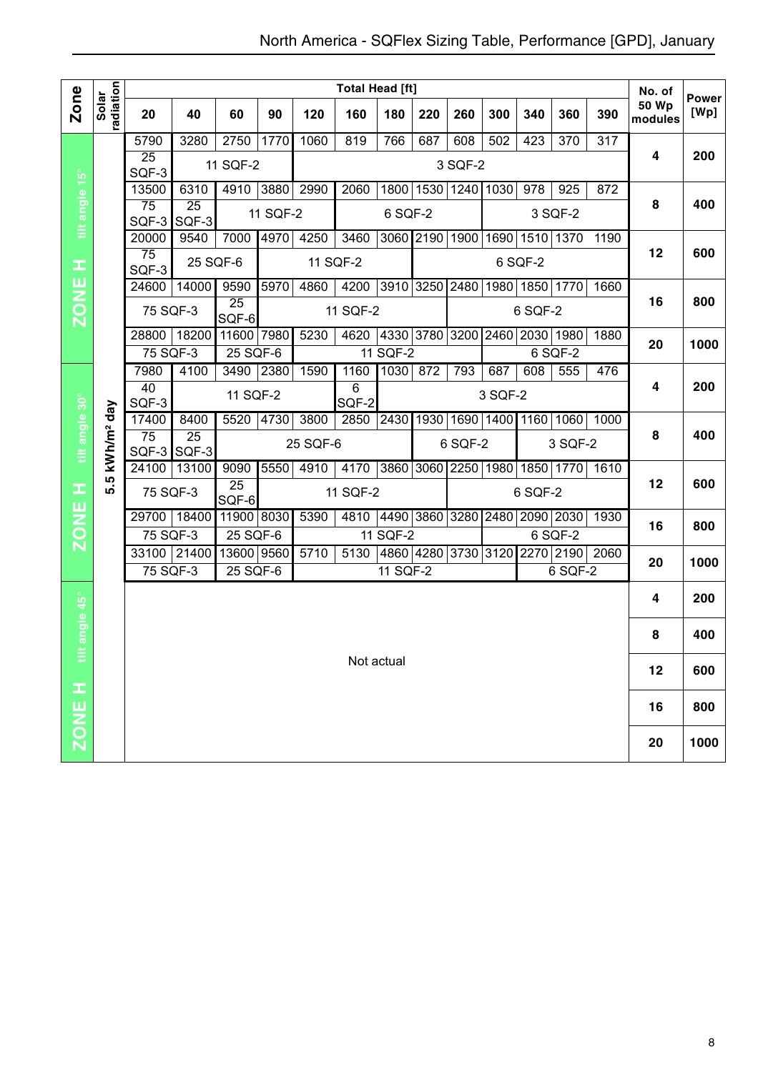|                |                        |                     |             |                          |          |          | <b>Total Head [ft]</b> |                     |                     |         |         |                |                  |                  | No. of                  | <b>Power</b> |
|----------------|------------------------|---------------------|-------------|--------------------------|----------|----------|------------------------|---------------------|---------------------|---------|---------|----------------|------------------|------------------|-------------------------|--------------|
| <b>Zone</b>    | radiation<br>Solar     | 20                  | 40          | 60                       | 90       | 120      | 160                    | 180                 | 220                 | 260     | 300     | 340            | 360              | 390              | <b>50 Wp</b><br>modules | [Wp]         |
|                |                        | 5790                | 3280        | 2750                     | 1770     | 1060     | 819                    | 766                 | 687                 | 608     | 502     | 423            | $\overline{370}$ | $\overline{317}$ |                         |              |
|                |                        | 25<br>SQF-3         |             | 11 SQF-2                 |          |          |                        |                     |                     | 3 SQF-2 |         |                |                  |                  | 4                       | 200          |
|                |                        | 13500               | 6310        | 4910                     | 3880     | 2990     | 2060                   |                     | 1800 1530 1240      |         | 1030    | 978            | 925              | 872              |                         |              |
| tilt angle 15° |                        | 75<br>SQF-3         | 25<br>SQF-3 |                          | 11 SQF-2 |          |                        | 6 SQF-2             |                     |         |         |                | 3 SQF-2          |                  | 8                       | 400          |
|                |                        | 20000               | 9540        | 7000                     | 4970     | 4250     | 3460                   |                     | 3060 2190 1900      |         | 1690    | 1510 1370      |                  | $\frac{1}{1190}$ |                         |              |
| œ              |                        | 75<br>SQF-3         | 25 SQF-6    |                          |          |          | 11 SQF-2               |                     |                     |         |         | 6 SQF-2        |                  |                  | 12                      | 600          |
|                |                        | 24600               | 14000       | 9590                     | 5970     | 4860     | 4200                   | 3910 3250           |                     | 2480    |         | 1980 1850      | 1770             | 1660             |                         |              |
| <b>ZONE</b>    |                        | 75 SQF-3            |             | 25<br>SQF-6              |          |          | 11 SQF-2               |                     |                     |         |         | 6 SQF-2        |                  |                  | 16                      | 800          |
|                |                        | 28800               | 18200       | 11600 7980               |          | 5230     | 4620                   | 4330 3780 3200      |                     |         |         | 2460 2030 1980 |                  | 1880             | 20                      | 1000         |
|                |                        | 75 SQF-3            |             | 25 SQF-6                 |          |          |                        | 11 SQF-2            |                     |         |         |                | 6 SQF-2          |                  |                         |              |
|                |                        | 7980                | 4100        | 3490                     | 2380     | 1590     | 1160                   | 1030                | 872                 | 793     | 687     | 608            | 555              | 476              |                         |              |
|                |                        | 40<br>SQF-3         |             | 11 SQF-2                 |          |          | 6<br>SQF-2             |                     |                     |         | 3 SQF-2 |                |                  |                  | 4                       | 200          |
|                |                        | 17400               | 8400        | 5520                     | 4730     | 3800     | 2850                   | 2430 1930 1690 1400 |                     |         |         | 1160           | 1060             | 1000             |                         |              |
| tilt angle 30° | kWh/m <sup>2</sup> day | 75<br>$SQF-3$ SQF-3 | 25          |                          |          | 25 SQF-6 |                        |                     |                     | 6 SQF-2 |         |                | 3 SQF-2          |                  | 8                       | 400          |
|                | ְחֵ                    | 24100               | 13100       | 9090                     | 5550     | 4910     | 4170                   | 3860 3060 2250 1980 |                     |         |         |                |                  | 1850 1770 1610   |                         |              |
| H              | ιó                     | 75 SQF-3            |             | $\overline{25}$<br>SQF-6 |          |          | 11 SQF-2               |                     |                     |         |         | 6 SQF-2        |                  |                  | 12                      | 600          |
|                |                        | 29700 18400         |             | 11900 8030               |          | 5390     | 4810                   | 4490 3860 3280      |                     |         | 2480    | 2090 2030      |                  | 1930             | 16                      | 800          |
| <b>ZONE</b>    |                        | 75 SQF-3            |             | 25 SQF-6                 |          |          |                        | 11 SQF-2            |                     |         |         |                | 6 SQF-2          |                  |                         |              |
|                |                        | 33100 21400         |             | 13600 9560               |          | 5710     | 5130                   |                     | 4860 4280 3730 3120 |         |         |                |                  | 2270 2190 2060   | 20                      | 1000         |
|                |                        | 75 SQF-3            |             | 25 SQF-6                 |          |          |                        | 11 SQF-2            |                     |         |         |                | 6 SQF-2          |                  |                         |              |
| angle 45°      |                        |                     |             |                          |          |          |                        |                     |                     |         |         |                |                  |                  | 4                       | 200          |
|                |                        |                     |             |                          |          |          |                        |                     |                     |         |         |                |                  |                  | 8                       | 400          |
| ä              |                        |                     |             |                          |          |          |                        | Not actual          |                     |         |         |                |                  |                  | 12                      | 600          |
|                |                        |                     |             |                          |          |          |                        |                     |                     |         |         |                |                  |                  |                         |              |
| ZONE H         |                        |                     |             |                          |          |          |                        |                     |                     |         |         |                |                  |                  | 16                      | 800          |
|                |                        |                     |             |                          |          |          |                        |                     |                     |         |         |                |                  |                  | 20                      | 1000         |